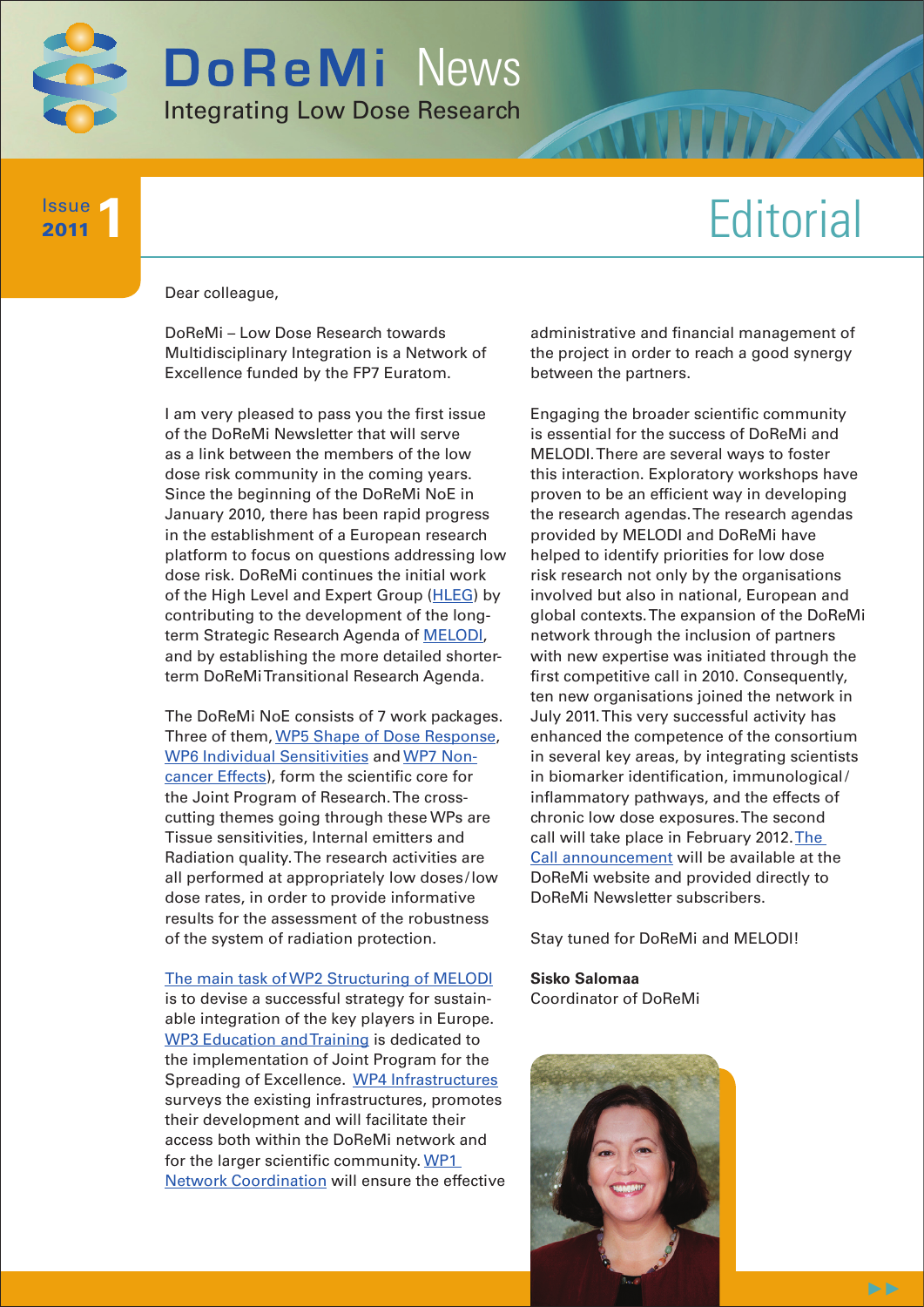

# **Editorial**

#### Dear colleague,

**1** Issue 2011

> DoReMi – Low Dose Research towards Multidisciplinary Integration is a Network of Excellence funded by the FP7 Euratom.

I am very pleased to pass you the first issue of the DoReMi Newsletter that will serve as a link between the members of the low dose risk community in the coming years. Since the beginning of the DoReMi NoE in January 2010, there has been rapid progress in the establishment of a European research platform to focus on questions addressing low dose risk. DoReMi continues the initial work of the High Level and Expert Group ([HLEG](http://www.hleg.de)) by contributing to the development of the longterm Strategic Research Agenda of [MELODI](http://www.melodi-online.eu), and by establishing the more detailed shorterterm DoReMi Transitional Research Agenda.

The DoReMi NoE consists of 7 work packages. Three of them, [WP5 Shape of Dose Response,](http://www.doremi-noe.net/wp5.html) [WP6 Individual Sensitivities](http://www.doremi-noe.net/wp6.html) and [WP7 Non](http://www.doremi-noe.net/wp7.html)[cancer Effects\)](http://www.doremi-noe.net/wp7.html), form the scientific core for the Joint Program of Research. The crosscutting themes going through these WPs are Tissue sensitivities, Internal emitters and Radiation quality. The research activities are all performed at appropriately low doses/low dose rates, in order to provide informative results for the assessment of the robustness of the system of radiation protection.

[The main task of WP2 Structuring of MELODI](http://www.doremi-noe.net/wp2.html)

is to devise a successful strategy for sustainable integration of the key players in Europe. [WP3 Education and Training](http://www.doremi-noe.net/training_and_education.html) is dedicated to the implementation of Joint Program for the Spreading of Excellence. [WP4 Infrastructures](http://www.doremi-noe.net/infrastructures.html) surveys the existing infrastructures, promotes their development and will facilitate their access both within the DoReMi network and for the larger scientific community. WP1 [Network Coordination will e](http://www.doremi-noe.net/about_doremi.html#WP1.html)nsure the effective administrative and financial management of the project in order to reach a good synergy between the partners.

Engaging the broader scientific community is essential for the success of DoReMi and MELODI. There are several ways to foster this interaction. Exploratory workshops have proven to be an efficient way in developing the research agendas. The research agendas provided by MELODI and DoReMi have helped to identify priorities for low dose risk research not only by the organisations involved but also in national, European and global contexts. The expansion of the DoReMi network through the inclusion of partners with new expertise was initiated through the first competitive call in 2010. Consequently, ten new organisations joined the network in July 2011. This very successful activity has enhanced the competence of the consortium in several key areas, by integrating scientists in biomarker identification, immunological/ inflammatory pathways, and the effects of chronic low dose exposures. The second call will take place in February 2012. The [Call announcement will](http://www.doremi-noe.net/call_infos.html) be available at the DoReMi website and provided directly to DoReMi Newsletter subscribers.

Stay tuned for DoReMi and MELODI!

**Sisko Salomaa** Coordinator of DoReMi